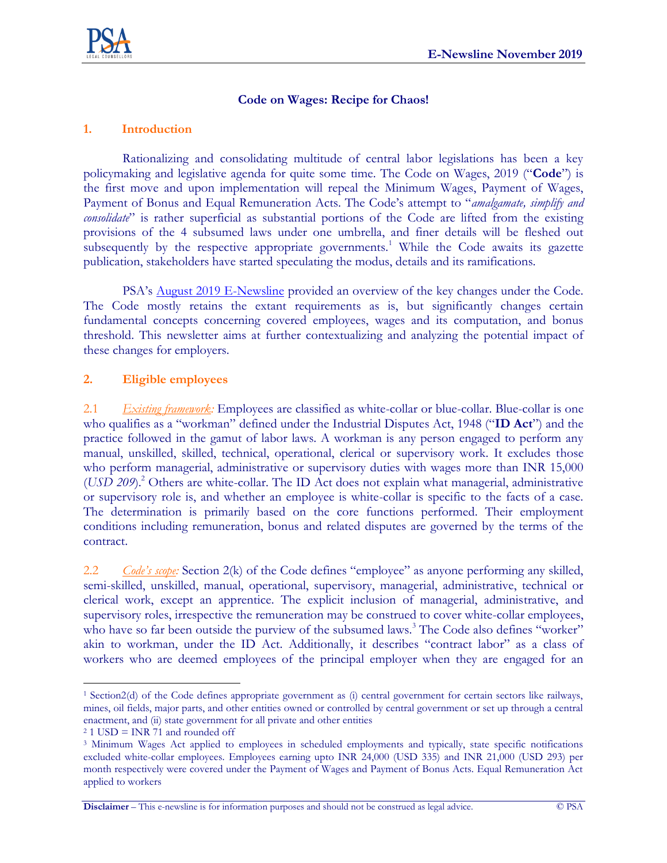

## **Code on Wages: Recipe for Chaos!**

### **1. Introduction**

Rationalizing and consolidating multitude of central labor legislations has been a key policymaking and legislative agenda for quite some time. The Code on Wages, 2019 ("**Code**") is the first move and upon implementation will repeal the Minimum Wages, Payment of Wages, Payment of Bonus and Equal Remuneration Acts. The Code's attempt to "*amalgamate, simplify and consolidate*" is rather superficial as substantial portions of the Code are lifted from the existing provisions of the 4 subsumed laws under one umbrella, and finer details will be fleshed out subsequently by the respective appropriate governments.<sup>1</sup> While the Code awaits its gazette publication, stakeholders have started speculating the modus, details and its ramifications.

PSA's [August 2019 E-Newsline](http://www.psalegal.com/wp-content/uploads/2019/11/E-Newsline-August-2019.pdf) provided an overview of the key changes under the Code. The Code mostly retains the extant requirements as is, but significantly changes certain fundamental concepts concerning covered employees, wages and its computation, and bonus threshold. This newsletter aims at further contextualizing and analyzing the potential impact of these changes for employers.

#### **2. Eligible employees**

2.1 *Existing framework:* Employees are classified as white-collar or blue-collar. Blue-collar is one who qualifies as a "workman" defined under the Industrial Disputes Act, 1948 ("**ID Act**") and the practice followed in the gamut of labor laws. A workman is any person engaged to perform any manual, unskilled, skilled, technical, operational, clerical or supervisory work. It excludes those who perform managerial, administrative or supervisory duties with wages more than INR 15,000 (*USD 209*).<sup>2</sup> Others are white-collar. The ID Act does not explain what managerial, administrative or supervisory role is, and whether an employee is white-collar is specific to the facts of a case. The determination is primarily based on the core functions performed. Their employment conditions including remuneration, bonus and related disputes are governed by the terms of the contract.

2.2 *Code's scope:* Section 2(k) of the Code defines "employee" as anyone performing any skilled, semi-skilled, unskilled, manual, operational, supervisory, managerial, administrative, technical or clerical work, except an apprentice. The explicit inclusion of managerial, administrative, and supervisory roles, irrespective the remuneration may be construed to cover white-collar employees, who have so far been outside the purview of the subsumed laws.<sup>3</sup> The Code also defines "worker" akin to workman, under the ID Act. Additionally, it describes "contract labor" as a class of workers who are deemed employees of the principal employer when they are engaged for an

 $\overline{a}$ 

**Disclaimer** – This e-newsline is for information purposes and should not be construed as legal advice. © PSA

<sup>1</sup> Section2(d) of the Code defines appropriate government as (i) central government for certain sectors like railways, mines, oil fields, major parts, and other entities owned or controlled by central government or set up through a central enactment, and (ii) state government for all private and other entities

 $21$  USD = INR 71 and rounded off

<sup>3</sup> Minimum Wages Act applied to employees in scheduled employments and typically, state specific notifications excluded white-collar employees. Employees earning upto INR 24,000 (USD 335) and INR 21,000 (USD 293) per month respectively were covered under the Payment of Wages and Payment of Bonus Acts. Equal Remuneration Act applied to workers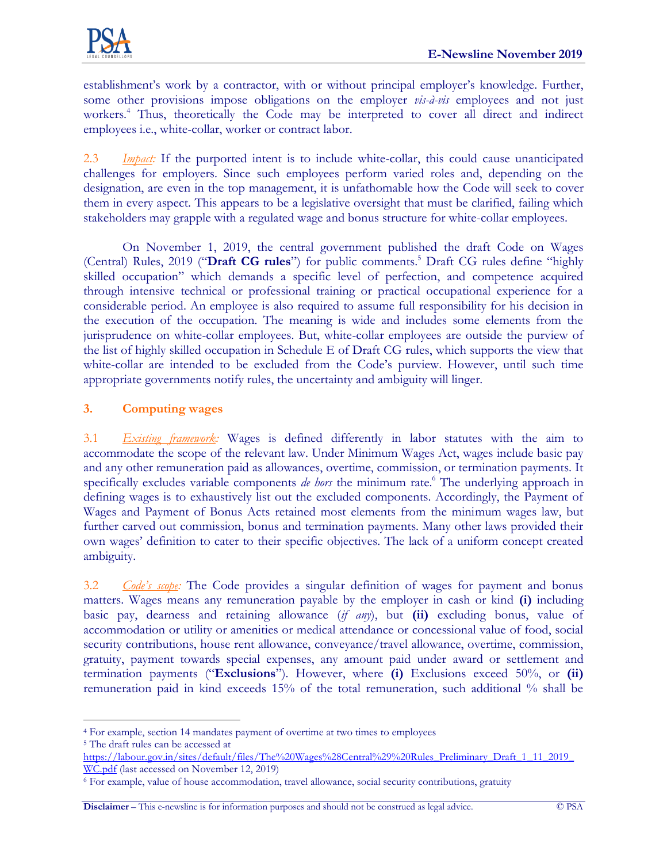

establishment's work by a contractor, with or without principal employer's knowledge. Further, some other provisions impose obligations on the employer *vis-à-vis* employees and not just workers.<sup>4</sup> Thus, theoretically the Code may be interpreted to cover all direct and indirect employees i.e., white-collar, worker or contract labor.

2.3 *Impact:* If the purported intent is to include white-collar, this could cause unanticipated challenges for employers. Since such employees perform varied roles and, depending on the designation, are even in the top management, it is unfathomable how the Code will seek to cover them in every aspect. This appears to be a legislative oversight that must be clarified, failing which stakeholders may grapple with a regulated wage and bonus structure for white-collar employees.

On November 1, 2019, the central government published the draft Code on Wages (Central) Rules, 2019 ("**Draft CG rules**") for public comments.<sup>5</sup> Draft CG rules define "highly skilled occupation" which demands a specific level of perfection, and competence acquired through intensive technical or professional training or practical occupational experience for a considerable period. An employee is also required to assume full responsibility for his decision in the execution of the occupation. The meaning is wide and includes some elements from the jurisprudence on white-collar employees. But, white-collar employees are outside the purview of the list of highly skilled occupation in Schedule E of Draft CG rules, which supports the view that white-collar are intended to be excluded from the Code's purview. However, until such time appropriate governments notify rules, the uncertainty and ambiguity will linger.

# **3. Computing wages**

3.1 *Existing framework:* Wages is defined differently in labor statutes with the aim to accommodate the scope of the relevant law. Under Minimum Wages Act, wages include basic pay and any other remuneration paid as allowances, overtime, commission, or termination payments. It specifically excludes variable components *de hors* the minimum rate.<sup>6</sup> The underlying approach in defining wages is to exhaustively list out the excluded components. Accordingly, the Payment of Wages and Payment of Bonus Acts retained most elements from the minimum wages law, but further carved out commission, bonus and termination payments. Many other laws provided their own wages' definition to cater to their specific objectives. The lack of a uniform concept created ambiguity.

3.2 *Code's scope:* The Code provides a singular definition of wages for payment and bonus matters. Wages means any remuneration payable by the employer in cash or kind **(i)** including basic pay, dearness and retaining allowance (*if any*), but **(ii)** excluding bonus, value of accommodation or utility or amenities or medical attendance or concessional value of food, social security contributions, house rent allowance, conveyance/travel allowance, overtime, commission, gratuity, payment towards special expenses, any amount paid under award or settlement and termination payments ("**Exclusions**"). However, where **(i)** Exclusions exceed 50%, or **(ii)** remuneration paid in kind exceeds 15% of the total remuneration, such additional % shall be

 $\overline{a}$ 

**Disclaimer** – This e-newsline is for information purposes and should not be construed as legal advice. © PSA

<sup>4</sup> For example, section 14 mandates payment of overtime at two times to employees

<sup>5</sup> The draft rules can be accessed at

[https://labour.gov.in/sites/default/files/The%20Wages%28Central%29%20Rules\\_Preliminary\\_Draft\\_1\\_11\\_2019\\_](https://labour.gov.in/sites/default/files/The%20Wages%28Central%29%20Rules_Preliminary_Draft_1_11_2019_WC.pdf) [WC.pdf](https://labour.gov.in/sites/default/files/The%20Wages%28Central%29%20Rules_Preliminary_Draft_1_11_2019_WC.pdf) (last accessed on November 12, 2019)

<sup>6</sup> For example, value of house accommodation, travel allowance, social security contributions, gratuity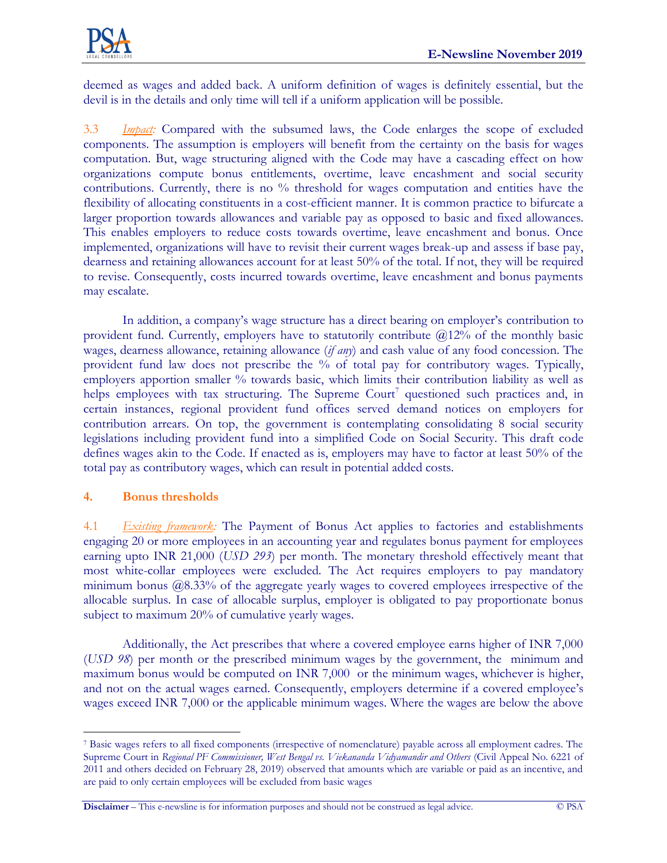

deemed as wages and added back. A uniform definition of wages is definitely essential, but the devil is in the details and only time will tell if a uniform application will be possible.

3.3 *Impact:* Compared with the subsumed laws, the Code enlarges the scope of excluded components. The assumption is employers will benefit from the certainty on the basis for wages computation. But, wage structuring aligned with the Code may have a cascading effect on how organizations compute bonus entitlements, overtime, leave encashment and social security contributions. Currently, there is no % threshold for wages computation and entities have the flexibility of allocating constituents in a cost-efficient manner. It is common practice to bifurcate a larger proportion towards allowances and variable pay as opposed to basic and fixed allowances. This enables employers to reduce costs towards overtime, leave encashment and bonus. Once implemented, organizations will have to revisit their current wages break-up and assess if base pay, dearness and retaining allowances account for at least 50% of the total. If not, they will be required to revise. Consequently, costs incurred towards overtime, leave encashment and bonus payments may escalate.

In addition, a company's wage structure has a direct bearing on employer's contribution to provident fund. Currently, employers have to statutorily contribute  $@12\%$  of the monthly basic wages, dearness allowance, retaining allowance (*if any*) and cash value of any food concession. The provident fund law does not prescribe the % of total pay for contributory wages. Typically, employers apportion smaller % towards basic, which limits their contribution liability as well as helps employees with tax structuring. The Supreme Court<sup>7</sup> questioned such practices and, in certain instances, regional provident fund offices served demand notices on employers for contribution arrears. On top, the government is contemplating consolidating 8 social security legislations including provident fund into a simplified Code on Social Security. This draft code defines wages akin to the Code. If enacted as is, employers may have to factor at least 50% of the total pay as contributory wages, which can result in potential added costs.

# **4. Bonus thresholds**

4.1 *Existing framework:* The Payment of Bonus Act applies to factories and establishments engaging 20 or more employees in an accounting year and regulates bonus payment for employees earning upto INR 21,000 (*USD 293*) per month. The monetary threshold effectively meant that most white-collar employees were excluded. The Act requires employers to pay mandatory minimum bonus @8.33% of the aggregate yearly wages to covered employees irrespective of the allocable surplus. In case of allocable surplus, employer is obligated to pay proportionate bonus subject to maximum 20% of cumulative yearly wages.

Additionally, the Act prescribes that where a covered employee earns higher of INR 7,000 (*USD 98*) per month or the prescribed minimum wages by the government, the minimum and maximum bonus would be computed on INR 7,000 or the minimum wages, whichever is higher, and not on the actual wages earned. Consequently, employers determine if a covered employee's wages exceed INR 7,000 or the applicable minimum wages. Where the wages are below the above

 $\overline{a}$ <sup>7</sup> Basic wages refers to all fixed components (irrespective of nomenclature) payable across all employment cadres. The Supreme Court in *Regional PF Commissioner, West Bengal vs. Viekananda Vidyamandir and Others* (Civil Appeal No. 6221 of 2011 and others decided on February 28, 2019) observed that amounts which are variable or paid as an incentive, and are paid to only certain employees will be excluded from basic wages

**Disclaimer** – This e-newsline is for information purposes and should not be construed as legal advice. © PSA